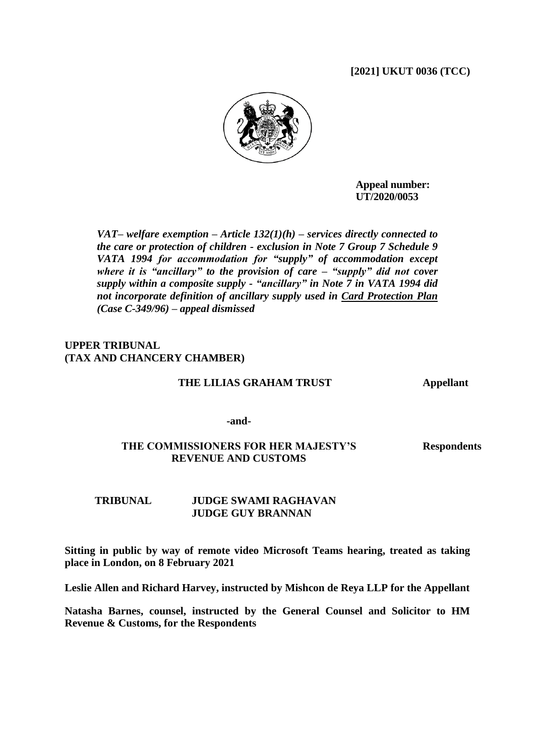## **[2021] UKUT 0036 (TCC)**



**Appeal number: UT/2020/0053**

*VAT– welfare exemption – Article 132(1)(h) – services directly connected to the care or protection of children - exclusion in Note 7 Group 7 Schedule 9 VATA 1994 for accommodation for "supply" of accommodation except where it is "ancillary" to the provision of care – "supply" did not cover supply within a composite supply - "ancillary" in Note 7 in VATA 1994 did not incorporate definition of ancillary supply used in Card Protection Plan (Case C-349/96) – appeal dismissed*

## **UPPER TRIBUNAL (TAX AND CHANCERY CHAMBER)**

#### **THE LILIAS GRAHAM TRUST Appellant**

**-and-**

## **THE COMMISSIONERS FOR HER MAJESTY'S REVENUE AND CUSTOMS**

**Respondents**

## **TRIBUNAL JUDGE SWAMI RAGHAVAN JUDGE GUY BRANNAN**

**Sitting in public by way of remote video Microsoft Teams hearing, treated as taking place in London, on 8 February 2021**

**Leslie Allen and Richard Harvey, instructed by Mishcon de Reya LLP for the Appellant**

**Natasha Barnes, counsel, instructed by the General Counsel and Solicitor to HM Revenue & Customs, for the Respondents**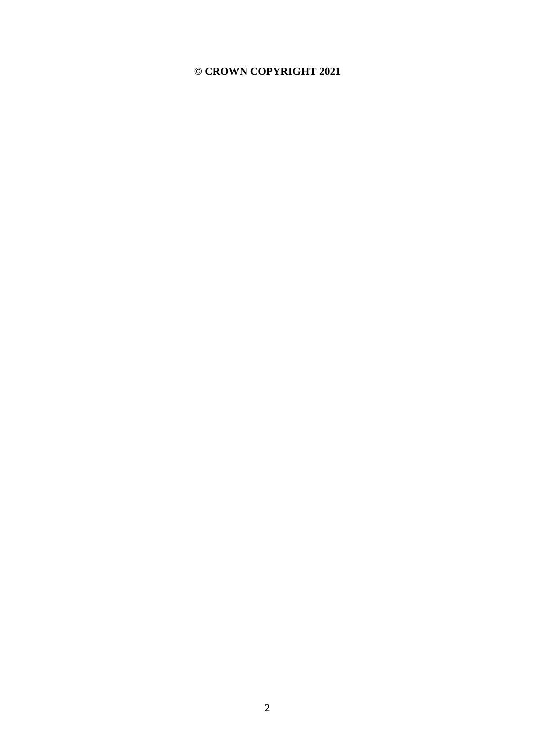## **© CROWN COPYRIGHT 2021**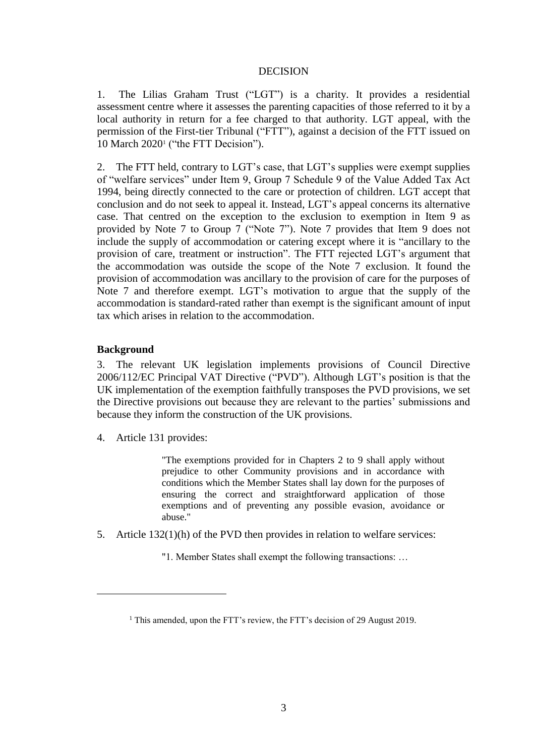#### DECISION

1. The Lilias Graham Trust ("LGT") is a charity. It provides a residential assessment centre where it assesses the parenting capacities of those referred to it by a local authority in return for a fee charged to that authority. LGT appeal, with the permission of the First-tier Tribunal ("FTT"), against a decision of the FTT issued on 10 March 2020<sup>1</sup> ("the FTT Decision").

2. The FTT held, contrary to LGT's case, that LGT's supplies were exempt supplies of "welfare services" under Item 9, Group 7 Schedule 9 of the Value Added Tax Act 1994, being directly connected to the care or protection of children. LGT accept that conclusion and do not seek to appeal it. Instead, LGT's appeal concerns its alternative case. That centred on the exception to the exclusion to exemption in Item 9 as provided by Note 7 to Group 7 ("Note 7"). Note 7 provides that Item 9 does not include the supply of accommodation or catering except where it is "ancillary to the provision of care, treatment or instruction". The FTT rejected LGT's argument that the accommodation was outside the scope of the Note 7 exclusion. It found the provision of accommodation was ancillary to the provision of care for the purposes of Note 7 and therefore exempt. LGT's motivation to argue that the supply of the accommodation is standard-rated rather than exempt is the significant amount of input tax which arises in relation to the accommodation.

## **Background**

1

3. The relevant UK legislation implements provisions of Council Directive 2006/112/EC Principal VAT Directive ("PVD"). Although LGT's position is that the UK implementation of the exemption faithfully transposes the PVD provisions, we set the Directive provisions out because they are relevant to the parties' submissions and because they inform the construction of the UK provisions.

4. Article 131 provides:

"The exemptions provided for in Chapters 2 to 9 shall apply without prejudice to other Community provisions and in accordance with conditions which the Member States shall lay down for the purposes of ensuring the correct and straightforward application of those exemptions and of preventing any possible evasion, avoidance or abuse."

5. Article 132(1)(h) of the PVD then provides in relation to welfare services:

"1. Member States shall exempt the following transactions: …

<sup>&</sup>lt;sup>1</sup> This amended, upon the FTT's review, the FTT's decision of 29 August 2019.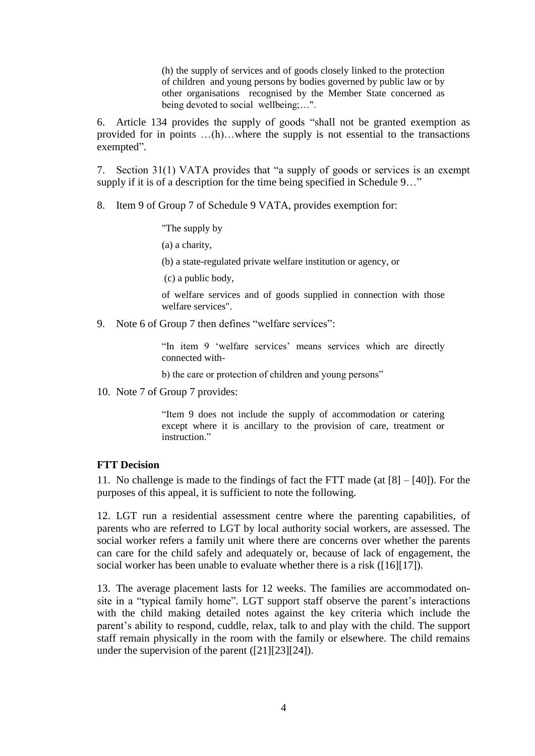(h) the supply of services and of goods closely linked to the protection of children and young persons by bodies governed by public law or by other organisations recognised by the Member State concerned as being devoted to social wellbeing:...".

6. Article 134 provides the supply of goods "shall not be granted exemption as provided for in points …(h)…where the supply is not essential to the transactions exempted".

7. Section 31(1) VATA provides that "a supply of goods or services is an exempt supply if it is of a description for the time being specified in Schedule 9..."

8. Item 9 of Group 7 of Schedule 9 VATA, provides exemption for:

"The supply by

(a) a charity,

(b) a state-regulated private welfare institution or agency, or

(c) a public body,

of welfare services and of goods supplied in connection with those welfare services".

9. Note 6 of Group 7 then defines "welfare services":

"In item 9 'welfare services' means services which are directly connected with-

b) the care or protection of children and young persons"

10. Note 7 of Group 7 provides:

"Item 9 does not include the supply of accommodation or catering except where it is ancillary to the provision of care, treatment or instruction."

#### **FTT Decision**

11. No challenge is made to the findings of fact the FTT made (at [8] – [40]). For the purposes of this appeal, it is sufficient to note the following.

12. LGT run a residential assessment centre where the parenting capabilities, of parents who are referred to LGT by local authority social workers, are assessed. The social worker refers a family unit where there are concerns over whether the parents can care for the child safely and adequately or, because of lack of engagement, the social worker has been unable to evaluate whether there is a risk ([16][17]).

13. The average placement lasts for 12 weeks. The families are accommodated onsite in a "typical family home". LGT support staff observe the parent's interactions with the child making detailed notes against the key criteria which include the parent's ability to respond, cuddle, relax, talk to and play with the child. The support staff remain physically in the room with the family or elsewhere. The child remains under the supervision of the parent ([21][23][24]).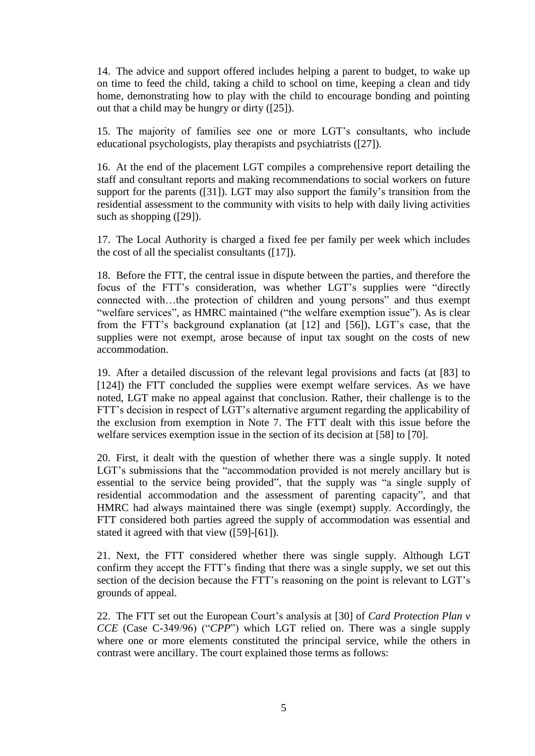14. The advice and support offered includes helping a parent to budget, to wake up on time to feed the child, taking a child to school on time, keeping a clean and tidy home, demonstrating how to play with the child to encourage bonding and pointing out that a child may be hungry or dirty ([25]).

15. The majority of families see one or more LGT's consultants, who include educational psychologists, play therapists and psychiatrists ([27]).

16. At the end of the placement LGT compiles a comprehensive report detailing the staff and consultant reports and making recommendations to social workers on future support for the parents ([31]). LGT may also support the family's transition from the residential assessment to the community with visits to help with daily living activities such as shopping ([29]).

17. The Local Authority is charged a fixed fee per family per week which includes the cost of all the specialist consultants ([17]).

18. Before the FTT, the central issue in dispute between the parties, and therefore the focus of the FTT's consideration, was whether LGT's supplies were "directly connected with…the protection of children and young persons" and thus exempt "welfare services", as HMRC maintained ("the welfare exemption issue"). As is clear from the FTT's background explanation (at [12] and [56]), LGT's case, that the supplies were not exempt, arose because of input tax sought on the costs of new accommodation.

19. After a detailed discussion of the relevant legal provisions and facts (at [83] to [124]) the FTT concluded the supplies were exempt welfare services. As we have noted, LGT make no appeal against that conclusion. Rather, their challenge is to the FTT's decision in respect of LGT's alternative argument regarding the applicability of the exclusion from exemption in Note 7. The FTT dealt with this issue before the welfare services exemption issue in the section of its decision at [58] to [70].

20. First, it dealt with the question of whether there was a single supply. It noted LGT's submissions that the "accommodation provided is not merely ancillary but is essential to the service being provided", that the supply was "a single supply of residential accommodation and the assessment of parenting capacity", and that HMRC had always maintained there was single (exempt) supply. Accordingly, the FTT considered both parties agreed the supply of accommodation was essential and stated it agreed with that view ([59]-[61]).

21. Next, the FTT considered whether there was single supply. Although LGT confirm they accept the FTT's finding that there was a single supply, we set out this section of the decision because the FTT's reasoning on the point is relevant to LGT's grounds of appeal.

22. The FTT set out the European Court's analysis at [30] of *Card Protection Plan v CCE* (Case C-349/96) ("*CPP*") which LGT relied on. There was a single supply where one or more elements constituted the principal service, while the others in contrast were ancillary. The court explained those terms as follows: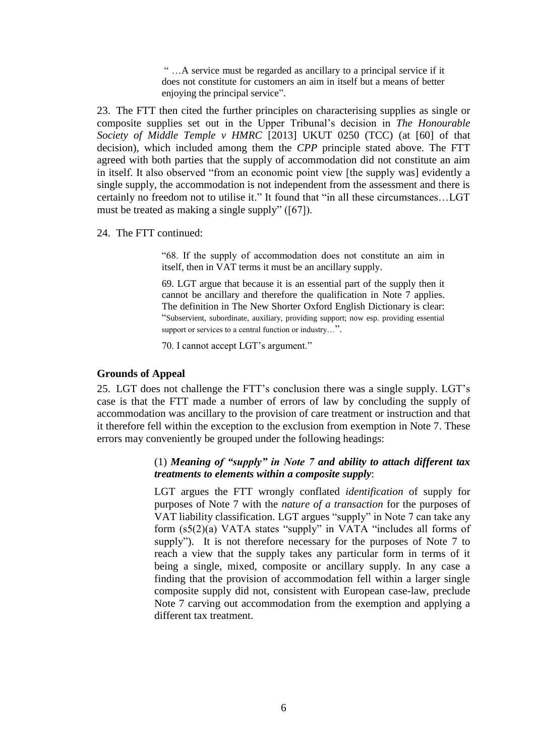" …A service must be regarded as ancillary to a principal service if it does not constitute for customers an aim in itself but a means of better enjoying the principal service".

23. The FTT then cited the further principles on characterising supplies as single or composite supplies set out in the Upper Tribunal's decision in *The Honourable Society of Middle Temple v HMRC* [2013] UKUT 0250 (TCC) (at [60] of that decision), which included among them the *CPP* principle stated above. The FTT agreed with both parties that the supply of accommodation did not constitute an aim in itself. It also observed "from an economic point view [the supply was] evidently a single supply, the accommodation is not independent from the assessment and there is certainly no freedom not to utilise it." It found that "in all these circumstances…LGT must be treated as making a single supply" ([67]).

24. The FTT continued:

"68. If the supply of accommodation does not constitute an aim in itself, then in VAT terms it must be an ancillary supply.

69. LGT argue that because it is an essential part of the supply then it cannot be ancillary and therefore the qualification in Note 7 applies. The definition in The New Shorter Oxford English Dictionary is clear: "Subservient, subordinate, auxiliary, providing support; now esp. providing essential support or services to a central function or industry...".

70. I cannot accept LGT's argument."

### **Grounds of Appeal**

25. LGT does not challenge the FTT's conclusion there was a single supply. LGT's case is that the FTT made a number of errors of law by concluding the supply of accommodation was ancillary to the provision of care treatment or instruction and that it therefore fell within the exception to the exclusion from exemption in Note 7. These errors may conveniently be grouped under the following headings:

## (1) *Meaning of "supply" in Note 7 and ability to attach different tax treatments to elements within a composite supply*:

LGT argues the FTT wrongly conflated *identification* of supply for purposes of Note 7 with the *nature of a transaction* for the purposes of VAT liability classification. LGT argues "supply" in Note 7 can take any form (s5(2)(a) VATA states "supply" in VATA "includes all forms of supply"). It is not therefore necessary for the purposes of Note 7 to reach a view that the supply takes any particular form in terms of it being a single, mixed, composite or ancillary supply. In any case a finding that the provision of accommodation fell within a larger single composite supply did not, consistent with European case-law, preclude Note 7 carving out accommodation from the exemption and applying a different tax treatment.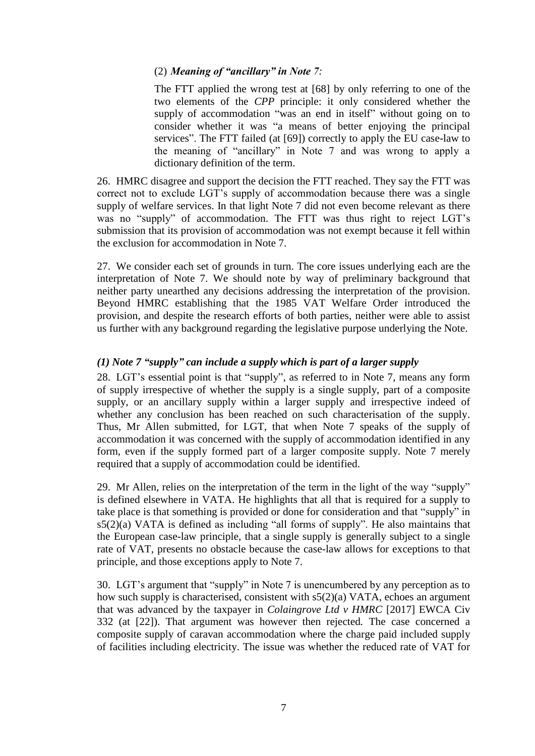## (2) *Meaning of "ancillary" in Note 7:*

The FTT applied the wrong test at [68] by only referring to one of the two elements of the *CPP* principle: it only considered whether the supply of accommodation "was an end in itself" without going on to consider whether it was "a means of better enjoying the principal services". The FTT failed (at [69]) correctly to apply the EU case-law to the meaning of "ancillary" in Note 7 and was wrong to apply a dictionary definition of the term.

26. HMRC disagree and support the decision the FTT reached. They say the FTT was correct not to exclude LGT's supply of accommodation because there was a single supply of welfare services. In that light Note 7 did not even become relevant as there was no "supply" of accommodation. The FTT was thus right to reject LGT's submission that its provision of accommodation was not exempt because it fell within the exclusion for accommodation in Note 7.

27. We consider each set of grounds in turn. The core issues underlying each are the interpretation of Note 7. We should note by way of preliminary background that neither party unearthed any decisions addressing the interpretation of the provision. Beyond HMRC establishing that the 1985 VAT Welfare Order introduced the provision, and despite the research efforts of both parties, neither were able to assist us further with any background regarding the legislative purpose underlying the Note.

## *(1) Note 7 "supply" can include a supply which is part of a larger supply*

28. LGT's essential point is that "supply", as referred to in Note 7, means any form of supply irrespective of whether the supply is a single supply, part of a composite supply, or an ancillary supply within a larger supply and irrespective indeed of whether any conclusion has been reached on such characterisation of the supply. Thus, Mr Allen submitted, for LGT, that when Note 7 speaks of the supply of accommodation it was concerned with the supply of accommodation identified in any form, even if the supply formed part of a larger composite supply. Note 7 merely required that a supply of accommodation could be identified.

29. Mr Allen, relies on the interpretation of the term in the light of the way "supply" is defined elsewhere in VATA. He highlights that all that is required for a supply to take place is that something is provided or done for consideration and that "supply" in s5(2)(a) VATA is defined as including "all forms of supply". He also maintains that the European case-law principle, that a single supply is generally subject to a single rate of VAT, presents no obstacle because the case-law allows for exceptions to that principle, and those exceptions apply to Note 7.

30. LGT's argument that "supply" in Note 7 is unencumbered by any perception as to how such supply is characterised, consistent with s5(2)(a) VATA, echoes an argument that was advanced by the taxpayer in *Colaingrove Ltd v HMRC* [2017] EWCA Civ 332 (at [22]). That argument was however then rejected*.* The case concerned a composite supply of caravan accommodation where the charge paid included supply of facilities including electricity. The issue was whether the reduced rate of VAT for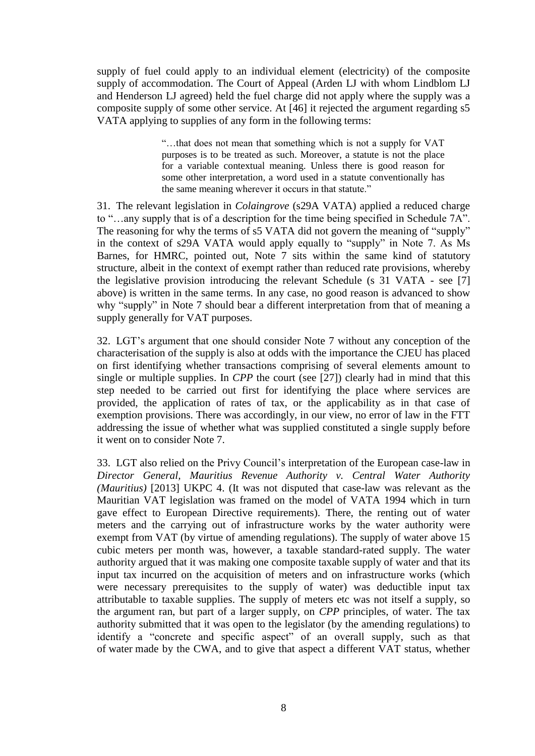supply of fuel could apply to an individual element (electricity) of the composite supply of accommodation. The Court of Appeal (Arden LJ with whom Lindblom LJ and Henderson LJ agreed) held the fuel charge did not apply where the supply was a composite supply of some other service. At [46] it rejected the argument regarding s5 VATA applying to supplies of any form in the following terms:

> "…that does not mean that something which is not a supply for VAT purposes is to be treated as such. Moreover, a statute is not the place for a variable contextual meaning. Unless there is good reason for some other interpretation, a word used in a statute conventionally has the same meaning wherever it occurs in that statute."

31. The relevant legislation in *Colaingrove* (s29A VATA) applied a reduced charge to "…any supply that is of a description for the time being specified in Schedule 7A". The reasoning for why the terms of s5 VATA did not govern the meaning of "supply" in the context of s29A VATA would apply equally to "supply" in Note 7. As Ms Barnes, for HMRC, pointed out, Note 7 sits within the same kind of statutory structure, albeit in the context of exempt rather than reduced rate provisions, whereby the legislative provision introducing the relevant Schedule (s 31 VATA - see [7] above) is written in the same terms. In any case, no good reason is advanced to show why "supply" in Note 7 should bear a different interpretation from that of meaning a supply generally for VAT purposes.

32. LGT's argument that one should consider Note 7 without any conception of the characterisation of the supply is also at odds with the importance the CJEU has placed on first identifying whether transactions comprising of several elements amount to single or multiple supplies. In *CPP* the court (see [27]) clearly had in mind that this step needed to be carried out first for identifying the place where services are provided, the application of rates of tax, or the applicability as in that case of exemption provisions. There was accordingly, in our view, no error of law in the FTT addressing the issue of whether what was supplied constituted a single supply before it went on to consider Note 7.

33. LGT also relied on the Privy Council's interpretation of the European case-law in *Director General, Mauritius Revenue Authority v. Central Water Authority (Mauritius)* [2013] UKPC 4. (It was not disputed that case-law was relevant as the Mauritian VAT legislation was framed on the model of VATA 1994 which in turn gave effect to European Directive requirements). There, the renting out of water meters and the carrying out of infrastructure works by the water authority were exempt from VAT (by virtue of amending regulations). The supply of water above 15 cubic meters per month was, however, a taxable standard-rated supply. The water authority argued that it was making one composite taxable supply of water and that its input tax incurred on the acquisition of meters and on infrastructure works (which were necessary prerequisites to the supply of water) was deductible input tax attributable to taxable supplies. The supply of meters etc was not itself a supply, so the argument ran, but part of a larger supply, on *CPP* principles, of water. The tax authority submitted that it was open to the legislator (by the amending regulations) to identify a "concrete and specific aspect" of an overall supply, such as that of water made by the CWA, and to give that aspect a different VAT status, whether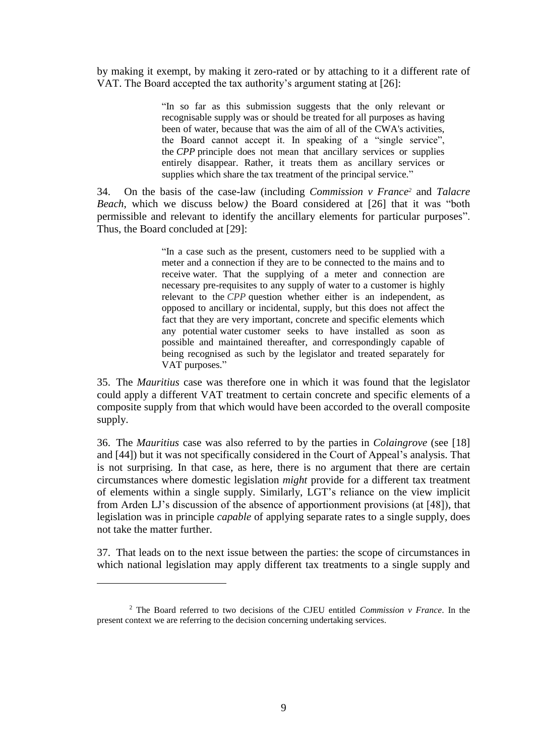by making it exempt, by making it zero-rated or by attaching to it a different rate of VAT. The Board accepted the tax authority's argument stating at [26]:

> "In so far as this submission suggests that the only relevant or recognisable supply was or should be treated for all purposes as having been of water, because that was the aim of all of the CWA's activities, the Board cannot accept it. In speaking of a "single service", the *CPP* principle does not mean that ancillary services or supplies entirely disappear. Rather, it treats them as ancillary services or supplies which share the tax treatment of the principal service."

34. On the basis of the case-law (including *Commission v France<sup>2</sup>* and *Talacre Beach*, which we discuss below*)* the Board considered at [26] that it was "both permissible and relevant to identify the ancillary elements for particular purposes". Thus, the Board concluded at [29]:

> "In a case such as the present, customers need to be supplied with a meter and a connection if they are to be connected to the mains and to receive water. That the supplying of a meter and connection are necessary pre-requisites to any supply of water to a customer is highly relevant to the *CPP* question whether either is an independent, as opposed to ancillary or incidental, supply, but this does not affect the fact that they are very important, concrete and specific elements which any potential water customer seeks to have installed as soon as possible and maintained thereafter, and correspondingly capable of being recognised as such by the legislator and treated separately for VAT purposes."

35. The *Mauritius* case was therefore one in which it was found that the legislator could apply a different VAT treatment to certain concrete and specific elements of a composite supply from that which would have been accorded to the overall composite supply.

36. The *Mauritius* case was also referred to by the parties in *Colaingrove* (see [18] and [44]) but it was not specifically considered in the Court of Appeal's analysis. That is not surprising. In that case, as here, there is no argument that there are certain circumstances where domestic legislation *might* provide for a different tax treatment of elements within a single supply. Similarly, LGT's reliance on the view implicit from Arden LJ's discussion of the absence of apportionment provisions (at [48]), that legislation was in principle *capable* of applying separate rates to a single supply, does not take the matter further.

37. That leads on to the next issue between the parties: the scope of circumstances in which national legislation may apply different tax treatments to a single supply and

<u>.</u>

<sup>2</sup> The Board referred to two decisions of the CJEU entitled *Commission v France*. In the present context we are referring to the decision concerning undertaking services.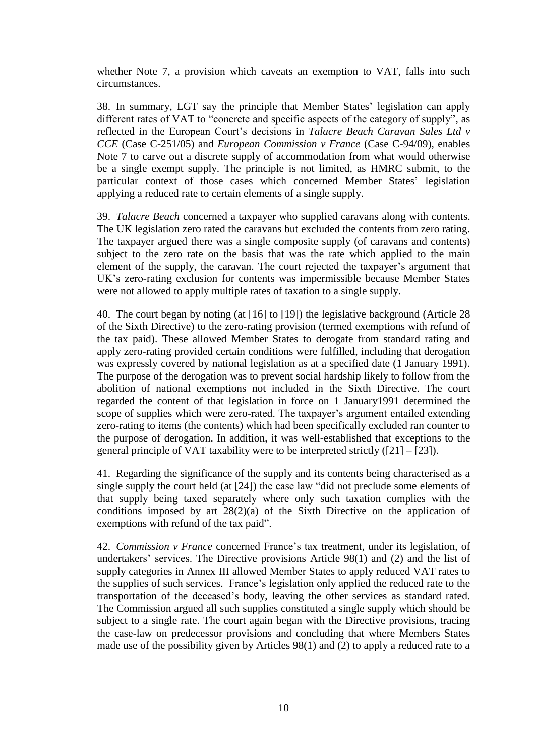whether Note 7, a provision which caveats an exemption to VAT, falls into such circumstances.

38. In summary, LGT say the principle that Member States' legislation can apply different rates of VAT to "concrete and specific aspects of the category of supply", as reflected in the European Court's decisions in *Talacre Beach Caravan Sales Ltd v CCE* (Case C-251/05) and *European Commission v France* (Case C-94/09)*,* enables Note 7 to carve out a discrete supply of accommodation from what would otherwise be a single exempt supply. The principle is not limited, as HMRC submit, to the particular context of those cases which concerned Member States' legislation applying a reduced rate to certain elements of a single supply.

39. *Talacre Beach* concerned a taxpayer who supplied caravans along with contents. The UK legislation zero rated the caravans but excluded the contents from zero rating. The taxpayer argued there was a single composite supply (of caravans and contents) subject to the zero rate on the basis that was the rate which applied to the main element of the supply, the caravan. The court rejected the taxpayer's argument that UK's zero-rating exclusion for contents was impermissible because Member States were not allowed to apply multiple rates of taxation to a single supply.

40. The court began by noting (at [16] to [19]) the legislative background (Article 28 of the Sixth Directive) to the zero-rating provision (termed exemptions with refund of the tax paid). These allowed Member States to derogate from standard rating and apply zero-rating provided certain conditions were fulfilled, including that derogation was expressly covered by national legislation as at a specified date (1 January 1991). The purpose of the derogation was to prevent social hardship likely to follow from the abolition of national exemptions not included in the Sixth Directive. The court regarded the content of that legislation in force on 1 January1991 determined the scope of supplies which were zero-rated. The taxpayer's argument entailed extending zero-rating to items (the contents) which had been specifically excluded ran counter to the purpose of derogation. In addition, it was well-established that exceptions to the general principle of VAT taxability were to be interpreted strictly  $(21] - [23]$ ).

41. Regarding the significance of the supply and its contents being characterised as a single supply the court held (at [24]) the case law "did not preclude some elements of that supply being taxed separately where only such taxation complies with the conditions imposed by art 28(2)(a) of the Sixth Directive on the application of exemptions with refund of the tax paid".

42. *Commission v France* concerned France's tax treatment, under its legislation, of undertakers' services. The Directive provisions Article 98(1) and (2) and the list of supply categories in Annex III allowed Member States to apply reduced VAT rates to the supplies of such services. France's legislation only applied the reduced rate to the transportation of the deceased's body, leaving the other services as standard rated. The Commission argued all such supplies constituted a single supply which should be subject to a single rate. The court again began with the Directive provisions, tracing the case-law on predecessor provisions and concluding that where Members States made use of the possibility given by Articles 98(1) and (2) to apply a reduced rate to a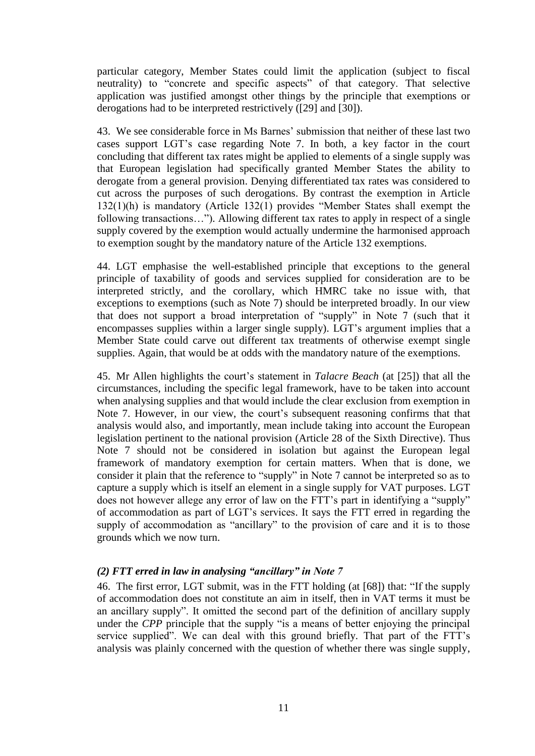particular category, Member States could limit the application (subject to fiscal neutrality) to "concrete and specific aspects" of that category. That selective application was justified amongst other things by the principle that exemptions or derogations had to be interpreted restrictively ([29] and [30]).

43. We see considerable force in Ms Barnes' submission that neither of these last two cases support LGT's case regarding Note 7. In both, a key factor in the court concluding that different tax rates might be applied to elements of a single supply was that European legislation had specifically granted Member States the ability to derogate from a general provision. Denying differentiated tax rates was considered to cut across the purposes of such derogations. By contrast the exemption in Article 132(1)(h) is mandatory (Article 132(1) provides "Member States shall exempt the following transactions…"). Allowing different tax rates to apply in respect of a single supply covered by the exemption would actually undermine the harmonised approach to exemption sought by the mandatory nature of the Article 132 exemptions.

44. LGT emphasise the well-established principle that exceptions to the general principle of taxability of goods and services supplied for consideration are to be interpreted strictly, and the corollary, which HMRC take no issue with, that exceptions to exemptions (such as Note 7) should be interpreted broadly. In our view that does not support a broad interpretation of "supply" in Note 7 (such that it encompasses supplies within a larger single supply). LGT's argument implies that a Member State could carve out different tax treatments of otherwise exempt single supplies. Again, that would be at odds with the mandatory nature of the exemptions.

45. Mr Allen highlights the court's statement in *Talacre Beach* (at [25]) that all the circumstances, including the specific legal framework, have to be taken into account when analysing supplies and that would include the clear exclusion from exemption in Note 7. However, in our view, the court's subsequent reasoning confirms that that analysis would also, and importantly, mean include taking into account the European legislation pertinent to the national provision (Article 28 of the Sixth Directive). Thus Note 7 should not be considered in isolation but against the European legal framework of mandatory exemption for certain matters. When that is done, we consider it plain that the reference to "supply" in Note 7 cannot be interpreted so as to capture a supply which is itself an element in a single supply for VAT purposes. LGT does not however allege any error of law on the FTT's part in identifying a "supply" of accommodation as part of LGT's services. It says the FTT erred in regarding the supply of accommodation as "ancillary" to the provision of care and it is to those grounds which we now turn.

## *(2) FTT erred in law in analysing "ancillary" in Note 7*

46. The first error, LGT submit, was in the FTT holding (at [68]) that: "If the supply of accommodation does not constitute an aim in itself, then in VAT terms it must be an ancillary supply". It omitted the second part of the definition of ancillary supply under the *CPP* principle that the supply "is a means of better enjoying the principal service supplied". We can deal with this ground briefly. That part of the FTT's analysis was plainly concerned with the question of whether there was single supply,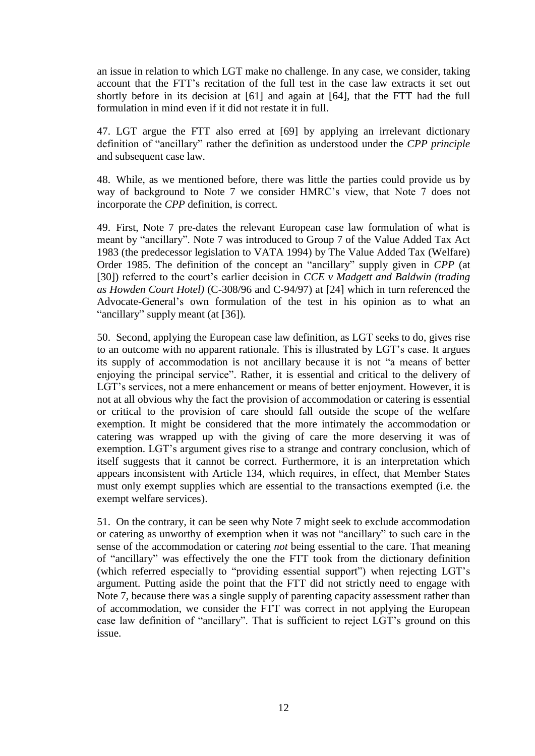an issue in relation to which LGT make no challenge. In any case, we consider, taking account that the FTT's recitation of the full test in the case law extracts it set out shortly before in its decision at [61] and again at [64], that the FTT had the full formulation in mind even if it did not restate it in full.

47. LGT argue the FTT also erred at [69] by applying an irrelevant dictionary definition of "ancillary" rather the definition as understood under the *CPP principle* and subsequent case law.

48. While, as we mentioned before, there was little the parties could provide us by way of background to Note 7 we consider HMRC's view, that Note 7 does not incorporate the *CPP* definition, is correct.

49. First, Note 7 pre-dates the relevant European case law formulation of what is meant by "ancillary". Note 7 was introduced to Group 7 of the Value Added Tax Act 1983 (the predecessor legislation to VATA 1994) by The Value Added Tax (Welfare) Order 1985. The definition of the concept an "ancillary" supply given in *CPP* (at [30]) referred to the court's earlier decision in *CCE v Madgett and Baldwin (trading as Howden Court Hotel)* (C-308/96 and C-94/97) at [24] which in turn referenced the Advocate-General's own formulation of the test in his opinion as to what an "ancillary" supply meant (at [36])*.* 

50. Second, applying the European case law definition, as LGT seeks to do, gives rise to an outcome with no apparent rationale. This is illustrated by LGT's case. It argues its supply of accommodation is not ancillary because it is not "a means of better enjoying the principal service". Rather, it is essential and critical to the delivery of LGT's services, not a mere enhancement or means of better enjoyment. However, it is not at all obvious why the fact the provision of accommodation or catering is essential or critical to the provision of care should fall outside the scope of the welfare exemption. It might be considered that the more intimately the accommodation or catering was wrapped up with the giving of care the more deserving it was of exemption. LGT's argument gives rise to a strange and contrary conclusion, which of itself suggests that it cannot be correct. Furthermore, it is an interpretation which appears inconsistent with Article 134, which requires, in effect, that Member States must only exempt supplies which are essential to the transactions exempted (i.e. the exempt welfare services).

51. On the contrary, it can be seen why Note 7 might seek to exclude accommodation or catering as unworthy of exemption when it was not "ancillary" to such care in the sense of the accommodation or catering *not* being essential to the care. That meaning of "ancillary" was effectively the one the FTT took from the dictionary definition (which referred especially to "providing essential support") when rejecting LGT's argument. Putting aside the point that the FTT did not strictly need to engage with Note 7, because there was a single supply of parenting capacity assessment rather than of accommodation, we consider the FTT was correct in not applying the European case law definition of "ancillary". That is sufficient to reject LGT's ground on this issue.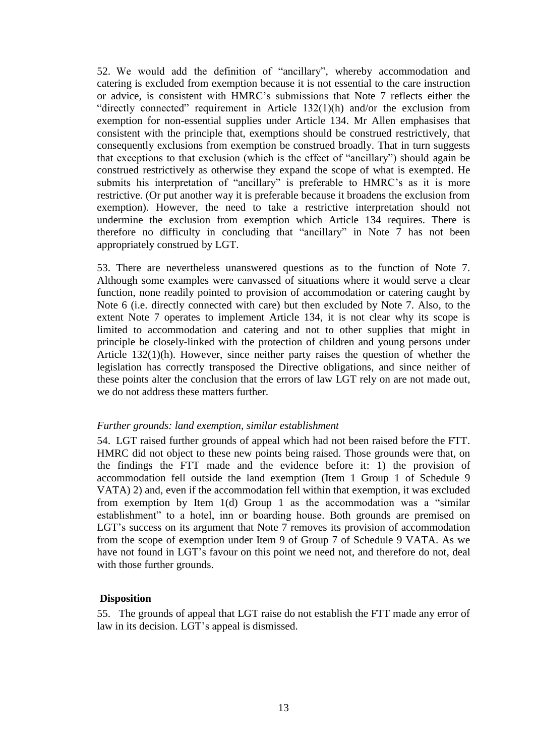52. We would add the definition of "ancillary", whereby accommodation and catering is excluded from exemption because it is not essential to the care instruction or advice, is consistent with HMRC's submissions that Note 7 reflects either the "directly connected" requirement in Article 132(1)(h) and/or the exclusion from exemption for non-essential supplies under Article 134. Mr Allen emphasises that consistent with the principle that, exemptions should be construed restrictively, that consequently exclusions from exemption be construed broadly. That in turn suggests that exceptions to that exclusion (which is the effect of "ancillary") should again be construed restrictively as otherwise they expand the scope of what is exempted. He submits his interpretation of "ancillary" is preferable to HMRC's as it is more restrictive. (Or put another way it is preferable because it broadens the exclusion from exemption). However, the need to take a restrictive interpretation should not undermine the exclusion from exemption which Article 134 requires. There is therefore no difficulty in concluding that "ancillary" in Note 7 has not been appropriately construed by LGT.

53. There are nevertheless unanswered questions as to the function of Note 7. Although some examples were canvassed of situations where it would serve a clear function, none readily pointed to provision of accommodation or catering caught by Note 6 (i.e. directly connected with care) but then excluded by Note 7. Also, to the extent Note 7 operates to implement Article 134, it is not clear why its scope is limited to accommodation and catering and not to other supplies that might in principle be closely-linked with the protection of children and young persons under Article 132(1)(h). However, since neither party raises the question of whether the legislation has correctly transposed the Directive obligations, and since neither of these points alter the conclusion that the errors of law LGT rely on are not made out, we do not address these matters further.

#### *Further grounds: land exemption, similar establishment*

54. LGT raised further grounds of appeal which had not been raised before the FTT. HMRC did not object to these new points being raised. Those grounds were that, on the findings the FTT made and the evidence before it: 1) the provision of accommodation fell outside the land exemption (Item 1 Group 1 of Schedule 9 VATA) 2) and, even if the accommodation fell within that exemption, it was excluded from exemption by Item 1(d) Group 1 as the accommodation was a "similar establishment" to a hotel, inn or boarding house. Both grounds are premised on LGT's success on its argument that Note 7 removes its provision of accommodation from the scope of exemption under Item 9 of Group 7 of Schedule 9 VATA. As we have not found in LGT's favour on this point we need not, and therefore do not, deal with those further grounds.

#### **Disposition**

55. The grounds of appeal that LGT raise do not establish the FTT made any error of law in its decision. LGT's appeal is dismissed.